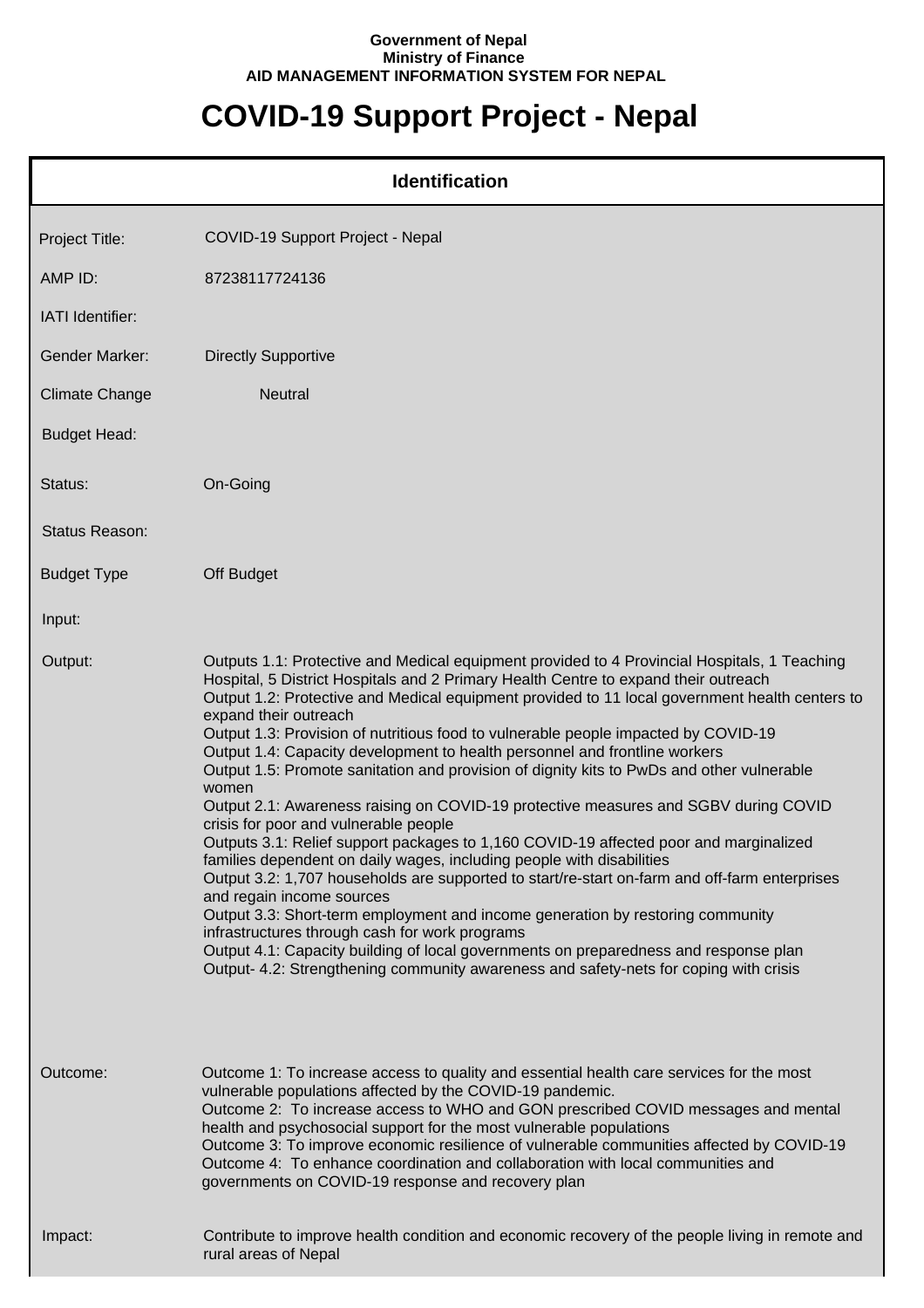## **Government of Nepal Ministry of Finance AID MANAGEMENT INFORMATION SYSTEM FOR NEPAL**

## **COVID-19 Support Project - Nepal**

| <b>Identification</b> |                                                                                                                                                                                                                                                                                                                                                                                                                                                                                                                                                                                                                                                                                                                                                                                                                                                                                                                                                                                                                                                                                                                                                                                                                                                                                                                                               |  |
|-----------------------|-----------------------------------------------------------------------------------------------------------------------------------------------------------------------------------------------------------------------------------------------------------------------------------------------------------------------------------------------------------------------------------------------------------------------------------------------------------------------------------------------------------------------------------------------------------------------------------------------------------------------------------------------------------------------------------------------------------------------------------------------------------------------------------------------------------------------------------------------------------------------------------------------------------------------------------------------------------------------------------------------------------------------------------------------------------------------------------------------------------------------------------------------------------------------------------------------------------------------------------------------------------------------------------------------------------------------------------------------|--|
| Project Title:        | COVID-19 Support Project - Nepal                                                                                                                                                                                                                                                                                                                                                                                                                                                                                                                                                                                                                                                                                                                                                                                                                                                                                                                                                                                                                                                                                                                                                                                                                                                                                                              |  |
| AMP ID:               | 87238117724136                                                                                                                                                                                                                                                                                                                                                                                                                                                                                                                                                                                                                                                                                                                                                                                                                                                                                                                                                                                                                                                                                                                                                                                                                                                                                                                                |  |
| IATI Identifier:      |                                                                                                                                                                                                                                                                                                                                                                                                                                                                                                                                                                                                                                                                                                                                                                                                                                                                                                                                                                                                                                                                                                                                                                                                                                                                                                                                               |  |
| <b>Gender Marker:</b> | <b>Directly Supportive</b>                                                                                                                                                                                                                                                                                                                                                                                                                                                                                                                                                                                                                                                                                                                                                                                                                                                                                                                                                                                                                                                                                                                                                                                                                                                                                                                    |  |
| <b>Climate Change</b> | Neutral                                                                                                                                                                                                                                                                                                                                                                                                                                                                                                                                                                                                                                                                                                                                                                                                                                                                                                                                                                                                                                                                                                                                                                                                                                                                                                                                       |  |
| <b>Budget Head:</b>   |                                                                                                                                                                                                                                                                                                                                                                                                                                                                                                                                                                                                                                                                                                                                                                                                                                                                                                                                                                                                                                                                                                                                                                                                                                                                                                                                               |  |
| Status:               | On-Going                                                                                                                                                                                                                                                                                                                                                                                                                                                                                                                                                                                                                                                                                                                                                                                                                                                                                                                                                                                                                                                                                                                                                                                                                                                                                                                                      |  |
| Status Reason:        |                                                                                                                                                                                                                                                                                                                                                                                                                                                                                                                                                                                                                                                                                                                                                                                                                                                                                                                                                                                                                                                                                                                                                                                                                                                                                                                                               |  |
| <b>Budget Type</b>    | Off Budget                                                                                                                                                                                                                                                                                                                                                                                                                                                                                                                                                                                                                                                                                                                                                                                                                                                                                                                                                                                                                                                                                                                                                                                                                                                                                                                                    |  |
| Input:                |                                                                                                                                                                                                                                                                                                                                                                                                                                                                                                                                                                                                                                                                                                                                                                                                                                                                                                                                                                                                                                                                                                                                                                                                                                                                                                                                               |  |
| Output:               | Outputs 1.1: Protective and Medical equipment provided to 4 Provincial Hospitals, 1 Teaching<br>Hospital, 5 District Hospitals and 2 Primary Health Centre to expand their outreach<br>Output 1.2: Protective and Medical equipment provided to 11 local government health centers to<br>expand their outreach<br>Output 1.3: Provision of nutritious food to vulnerable people impacted by COVID-19<br>Output 1.4: Capacity development to health personnel and frontline workers<br>Output 1.5: Promote sanitation and provision of dignity kits to PwDs and other vulnerable<br>women<br>Output 2.1: Awareness raising on COVID-19 protective measures and SGBV during COVID<br>crisis for poor and vulnerable people<br>Outputs 3.1: Relief support packages to 1,160 COVID-19 affected poor and marginalized<br>families dependent on daily wages, including people with disabilities<br>Output 3.2: 1,707 households are supported to start/re-start on-farm and off-farm enterprises<br>and regain income sources<br>Output 3.3: Short-term employment and income generation by restoring community<br>infrastructures through cash for work programs<br>Output 4.1: Capacity building of local governments on preparedness and response plan<br>Output- 4.2: Strengthening community awareness and safety-nets for coping with crisis |  |
| Outcome:              | Outcome 1: To increase access to quality and essential health care services for the most<br>vulnerable populations affected by the COVID-19 pandemic.<br>Outcome 2: To increase access to WHO and GON prescribed COVID messages and mental<br>health and psychosocial support for the most vulnerable populations<br>Outcome 3: To improve economic resilience of vulnerable communities affected by COVID-19<br>Outcome 4: To enhance coordination and collaboration with local communities and<br>governments on COVID-19 response and recovery plan                                                                                                                                                                                                                                                                                                                                                                                                                                                                                                                                                                                                                                                                                                                                                                                        |  |
| Impact:               | Contribute to improve health condition and economic recovery of the people living in remote and<br>rural areas of Nepal                                                                                                                                                                                                                                                                                                                                                                                                                                                                                                                                                                                                                                                                                                                                                                                                                                                                                                                                                                                                                                                                                                                                                                                                                       |  |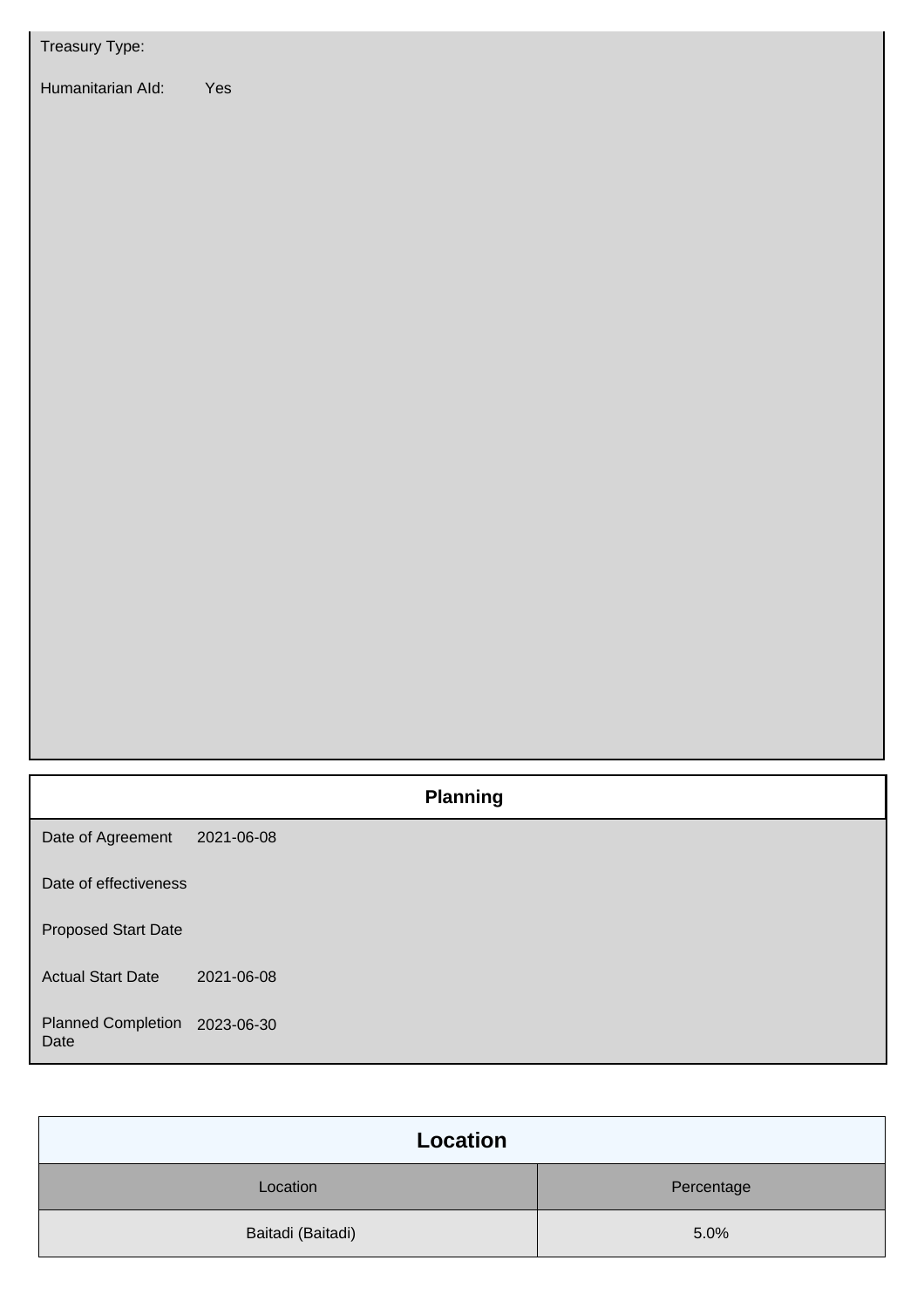| Treasury Type:                    |                 |
|-----------------------------------|-----------------|
| Humanitarian Ald:                 | Yes             |
|                                   | <b>Planning</b> |
| Date of Agreement                 | 2021-06-08      |
| Date of effectiveness             |                 |
| <b>Proposed Start Date</b>        |                 |
| <b>Actual Start Date</b>          | 2021-06-08      |
| <b>Planned Completion</b><br>Date | 2023-06-30      |

| Location          |            |  |
|-------------------|------------|--|
| Location          | Percentage |  |
| Baitadi (Baitadi) | 5.0%       |  |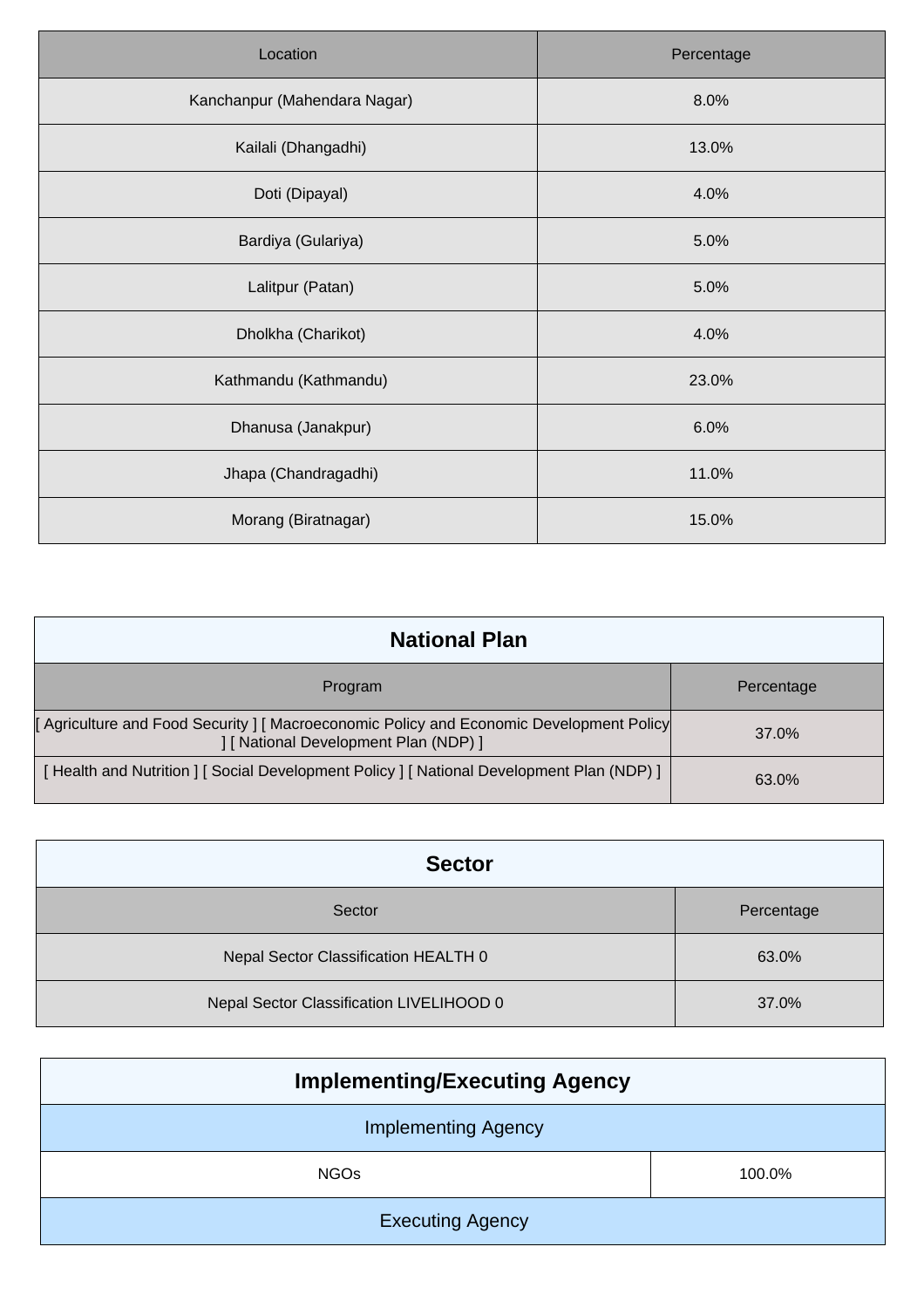| Location                     | Percentage |
|------------------------------|------------|
| Kanchanpur (Mahendara Nagar) | 8.0%       |
| Kailali (Dhangadhi)          | 13.0%      |
| Doti (Dipayal)               | 4.0%       |
| Bardiya (Gulariya)           | 5.0%       |
| Lalitpur (Patan)             | 5.0%       |
| Dholkha (Charikot)           | 4.0%       |
| Kathmandu (Kathmandu)        | 23.0%      |
| Dhanusa (Janakpur)           | 6.0%       |
| Jhapa (Chandragadhi)         | 11.0%      |
| Morang (Biratnagar)          | 15.0%      |

| <b>National Plan</b>                                                                                                        |            |
|-----------------------------------------------------------------------------------------------------------------------------|------------|
| Program                                                                                                                     | Percentage |
| Agriculture and Food Security   Macroeconomic Policy and Economic Development Policy<br>[ National Development Plan (NDP) ] | 37.0%      |
| [Health and Nutrition ] [Social Development Policy ] [National Development Plan (NDP) ]                                     | 63.0%      |

| <b>Sector</b>                            |            |
|------------------------------------------|------------|
| Sector                                   | Percentage |
| Nepal Sector Classification HEALTH 0     | 63.0%      |
| Nepal Sector Classification LIVELIHOOD 0 | 37.0%      |

| <b>Implementing/Executing Agency</b> |        |  |
|--------------------------------------|--------|--|
| <b>Implementing Agency</b>           |        |  |
| <b>NGOs</b>                          | 100.0% |  |
| <b>Executing Agency</b>              |        |  |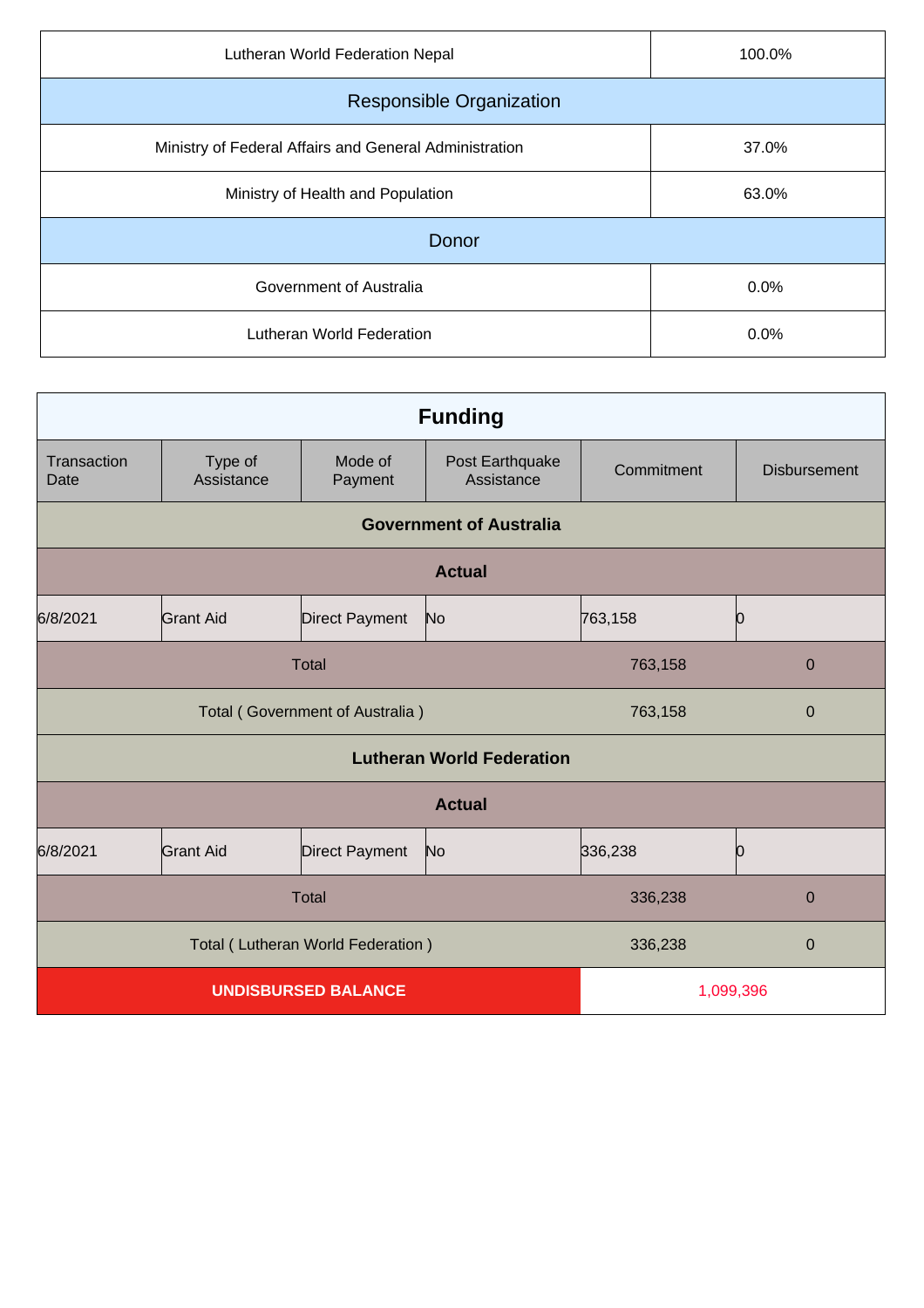| Lutheran World Federation Nepal                        | 100.0% |  |
|--------------------------------------------------------|--------|--|
| <b>Responsible Organization</b>                        |        |  |
| Ministry of Federal Affairs and General Administration | 37.0%  |  |
| Ministry of Health and Population                      | 63.0%  |  |
| Donor                                                  |        |  |
| Government of Australia                                | 0.0%   |  |
| Lutheran World Federation                              | 0.0%   |  |

| <b>Funding</b>                  |                       |                                   |                                  |             |                     |
|---------------------------------|-----------------------|-----------------------------------|----------------------------------|-------------|---------------------|
| Transaction<br>Date             | Type of<br>Assistance | Mode of<br>Payment                | Post Earthquake<br>Assistance    | Commitment  | <b>Disbursement</b> |
|                                 |                       |                                   | <b>Government of Australia</b>   |             |                     |
| <b>Actual</b>                   |                       |                                   |                                  |             |                     |
| 6/8/2021                        | Grant Aid             | Direct Payment                    | No                               | 763,158     | Ю                   |
| <b>Total</b>                    |                       |                                   | 763,158                          | $\mathbf 0$ |                     |
| Total (Government of Australia) |                       | 763,158                           | $\mathbf 0$                      |             |                     |
|                                 |                       |                                   | <b>Lutheran World Federation</b> |             |                     |
| <b>Actual</b>                   |                       |                                   |                                  |             |                     |
| 6/8/2021                        | <b>Grant Aid</b>      | Direct Payment                    | No                               | 336,238     | Ю                   |
| <b>Total</b>                    |                       | 336,238                           | $\mathbf 0$                      |             |                     |
|                                 |                       | Total (Lutheran World Federation) |                                  | 336,238     | 0                   |
| <b>UNDISBURSED BALANCE</b>      |                       |                                   | 1,099,396                        |             |                     |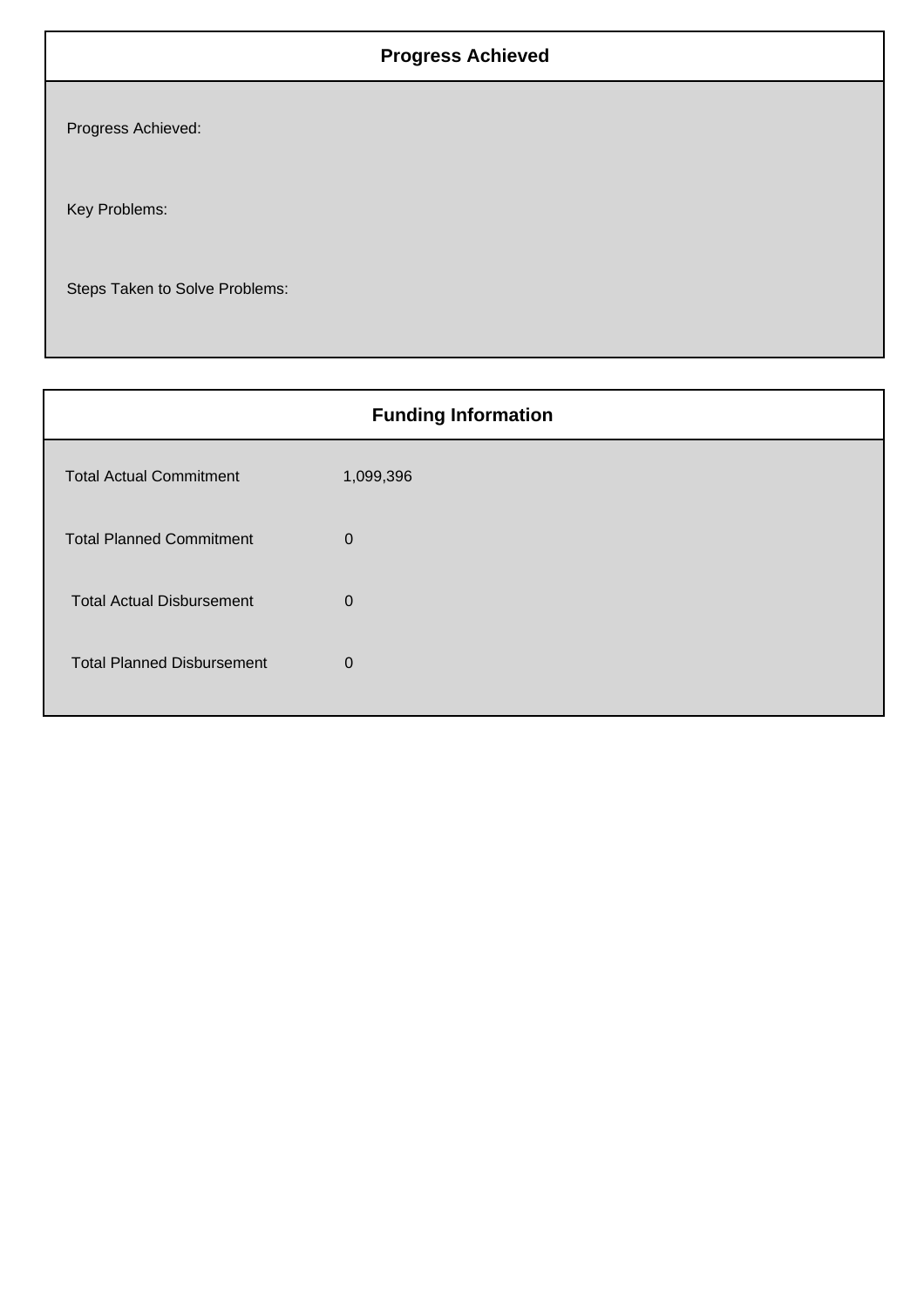## **Progress Achieved**

Progress Achieved:

Key Problems:

Steps Taken to Solve Problems:

| <b>Funding Information</b>        |             |  |
|-----------------------------------|-------------|--|
| <b>Total Actual Commitment</b>    | 1,099,396   |  |
| <b>Total Planned Commitment</b>   | $\mathbf 0$ |  |
| <b>Total Actual Disbursement</b>  | $\mathbf 0$ |  |
| <b>Total Planned Disbursement</b> | $\mathbf 0$ |  |
|                                   |             |  |